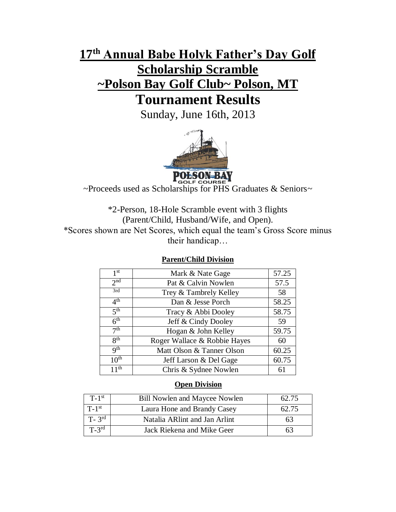# **17 th Annual Babe Holyk Father's Day Golf Scholarship Scramble ~Polson Bay Golf Club~ Polson, MT Tournament Results**

Sunday, June 16th, 2013



**POLSON-BAY**<br>~Proceeds used as Scholarships for PHS Graduates & Seniors~

\*2-Person, 18-Hole Scramble event with 3 flights (Parent/Child, Husband/Wife, and Open). \*Scores shown are Net Scores, which equal the team's Gross Score minus their handicap…

## **Parent/Child Division**

| 1 <sup>st</sup>  | Mark & Nate Gage             | 57.25 |
|------------------|------------------------------|-------|
| 2 <sub>nd</sub>  | Pat & Calvin Nowlen          | 57.5  |
| 3rd              | Trey & Tambrely Kelley       | 58    |
| 4 <sup>th</sup>  | Dan & Jesse Porch            | 58.25 |
| 5 <sup>th</sup>  | Tracy & Abbi Dooley          | 58.75 |
| 6 <sup>th</sup>  | Jeff & Cindy Dooley          | 59    |
| 7 <sup>th</sup>  | Hogan & John Kelley          | 59.75 |
| $R^{th}$         | Roger Wallace & Robbie Hayes | 60    |
| q <sup>th</sup>  | Matt Olson & Tanner Olson    | 60.25 |
| 10 <sup>th</sup> | Jeff Larson & Del Gage       | 60.75 |
| 11 <sup>th</sup> | Chris & Sydnee Nowlen        | 61    |

### **Open Division**

| $T-1$ <sup>st</sup>   | <b>Bill Nowlen and Maycee Nowlen</b> | 62.75 |
|-----------------------|--------------------------------------|-------|
| $T-1$ <sup>st</sup>   | Laura Hone and Brandy Casey          | 62.75 |
| $T - 3$ <sup>rd</sup> | Natalia ARInt and Jan Arlint         | 63    |
| $T-3^{rd}$            | Jack Riekena and Mike Geer           | n٦    |